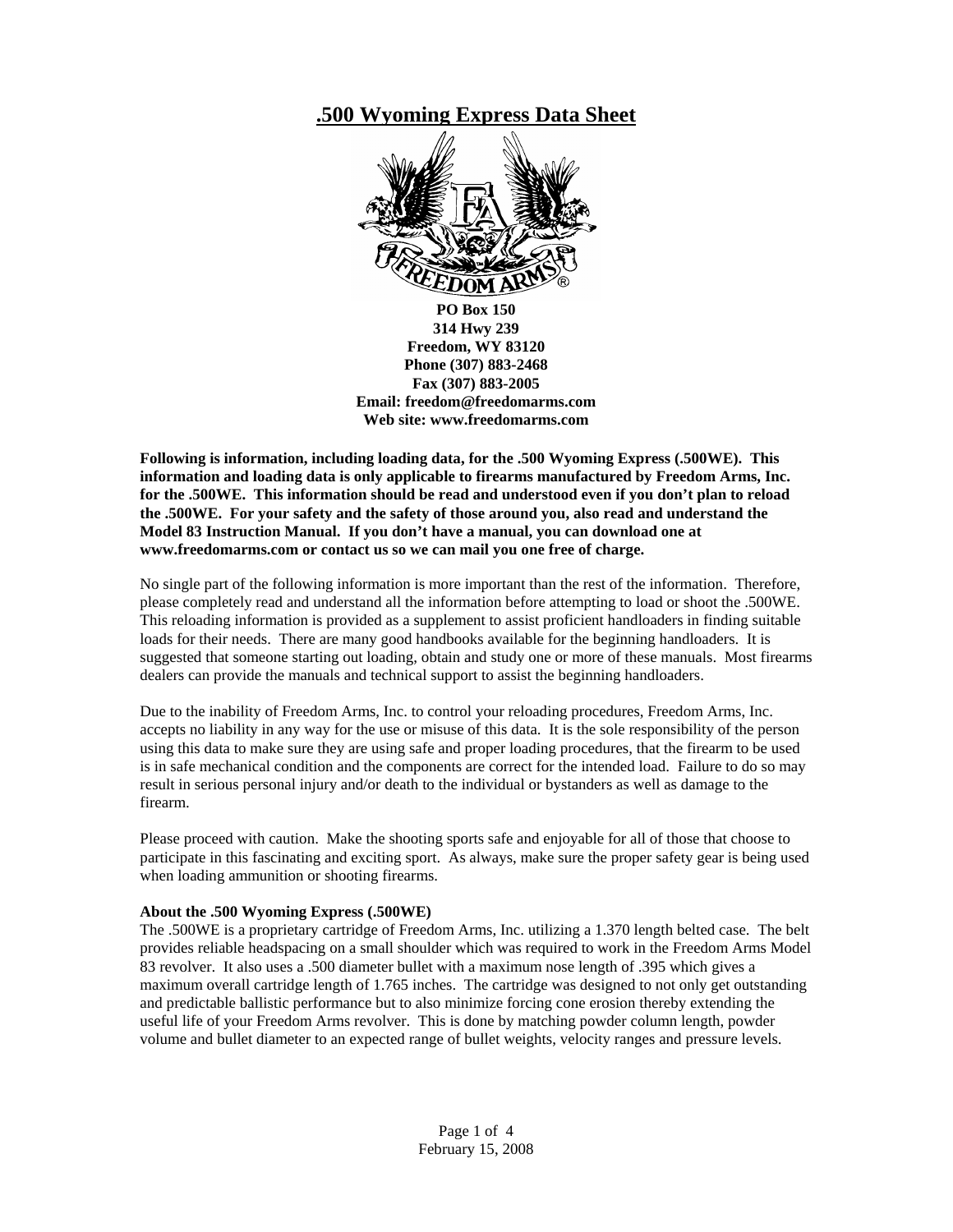# **.500 Wyoming Express Data Sheet**



**Following is information, including loading data, for the .500 Wyoming Express (.500WE). This information and loading data is only applicable to firearms manufactured by Freedom Arms, Inc. for the .500WE. This information should be read and understood even if you don't plan to reload the .500WE. For your safety and the safety of those around you, also read and understand the Model 83 Instruction Manual. If you don't have a manual, you can download one at www.freedomarms.com or contact us so we can mail you one free of charge.** 

No single part of the following information is more important than the rest of the information. Therefore, please completely read and understand all the information before attempting to load or shoot the .500WE. This reloading information is provided as a supplement to assist proficient handloaders in finding suitable loads for their needs. There are many good handbooks available for the beginning handloaders. It is suggested that someone starting out loading, obtain and study one or more of these manuals. Most firearms dealers can provide the manuals and technical support to assist the beginning handloaders.

Due to the inability of Freedom Arms, Inc. to control your reloading procedures, Freedom Arms, Inc. accepts no liability in any way for the use or misuse of this data. It is the sole responsibility of the person using this data to make sure they are using safe and proper loading procedures, that the firearm to be used is in safe mechanical condition and the components are correct for the intended load. Failure to do so may result in serious personal injury and/or death to the individual or bystanders as well as damage to the firearm.

Please proceed with caution. Make the shooting sports safe and enjoyable for all of those that choose to participate in this fascinating and exciting sport. As always, make sure the proper safety gear is being used when loading ammunition or shooting firearms.

#### **About the .500 Wyoming Express (.500WE)**

The .500WE is a proprietary cartridge of Freedom Arms, Inc. utilizing a 1.370 length belted case. The belt provides reliable headspacing on a small shoulder which was required to work in the Freedom Arms Model 83 revolver. It also uses a .500 diameter bullet with a maximum nose length of .395 which gives a maximum overall cartridge length of 1.765 inches. The cartridge was designed to not only get outstanding and predictable ballistic performance but to also minimize forcing cone erosion thereby extending the useful life of your Freedom Arms revolver. This is done by matching powder column length, powder volume and bullet diameter to an expected range of bullet weights, velocity ranges and pressure levels.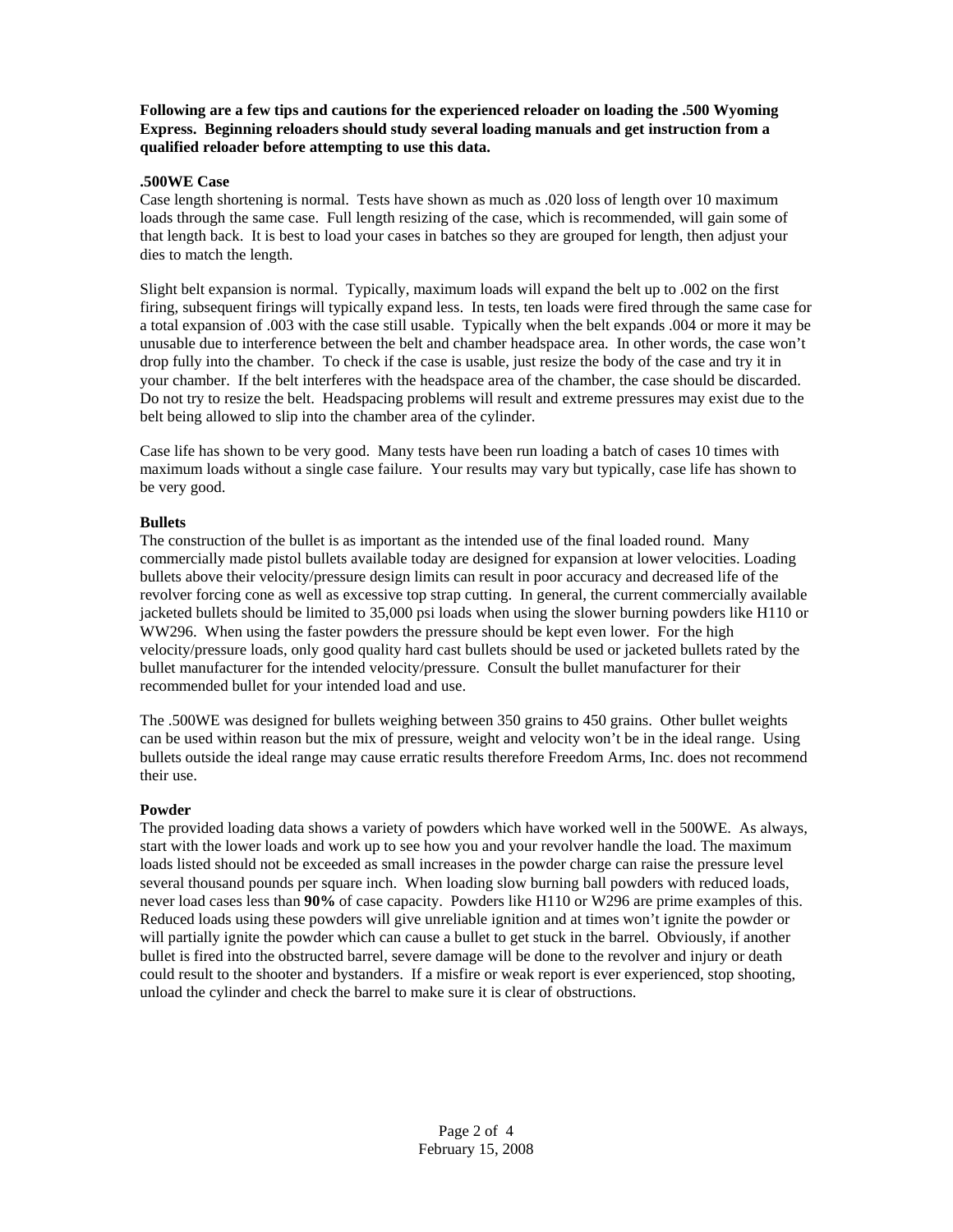**Following are a few tips and cautions for the experienced reloader on loading the .500 Wyoming Express. Beginning reloaders should study several loading manuals and get instruction from a qualified reloader before attempting to use this data.** 

#### **.500WE Case**

Case length shortening is normal. Tests have shown as much as .020 loss of length over 10 maximum loads through the same case. Full length resizing of the case, which is recommended, will gain some of that length back. It is best to load your cases in batches so they are grouped for length, then adjust your dies to match the length.

Slight belt expansion is normal. Typically, maximum loads will expand the belt up to .002 on the first firing, subsequent firings will typically expand less. In tests, ten loads were fired through the same case for a total expansion of .003 with the case still usable. Typically when the belt expands .004 or more it may be unusable due to interference between the belt and chamber headspace area. In other words, the case won't drop fully into the chamber. To check if the case is usable, just resize the body of the case and try it in your chamber. If the belt interferes with the headspace area of the chamber, the case should be discarded. Do not try to resize the belt. Headspacing problems will result and extreme pressures may exist due to the belt being allowed to slip into the chamber area of the cylinder.

Case life has shown to be very good. Many tests have been run loading a batch of cases 10 times with maximum loads without a single case failure. Your results may vary but typically, case life has shown to be very good.

#### **Bullets**

The construction of the bullet is as important as the intended use of the final loaded round. Many commercially made pistol bullets available today are designed for expansion at lower velocities. Loading bullets above their velocity/pressure design limits can result in poor accuracy and decreased life of the revolver forcing cone as well as excessive top strap cutting. In general, the current commercially available jacketed bullets should be limited to 35,000 psi loads when using the slower burning powders like H110 or WW296. When using the faster powders the pressure should be kept even lower. For the high velocity/pressure loads, only good quality hard cast bullets should be used or jacketed bullets rated by the bullet manufacturer for the intended velocity/pressure. Consult the bullet manufacturer for their recommended bullet for your intended load and use.

The .500WE was designed for bullets weighing between 350 grains to 450 grains. Other bullet weights can be used within reason but the mix of pressure, weight and velocity won't be in the ideal range. Using bullets outside the ideal range may cause erratic results therefore Freedom Arms, Inc. does not recommend their use.

#### **Powder**

The provided loading data shows a variety of powders which have worked well in the 500WE. As always, start with the lower loads and work up to see how you and your revolver handle the load. The maximum loads listed should not be exceeded as small increases in the powder charge can raise the pressure level several thousand pounds per square inch. When loading slow burning ball powders with reduced loads, never load cases less than **90%** of case capacity. Powders like H110 or W296 are prime examples of this. Reduced loads using these powders will give unreliable ignition and at times won't ignite the powder or will partially ignite the powder which can cause a bullet to get stuck in the barrel. Obviously, if another bullet is fired into the obstructed barrel, severe damage will be done to the revolver and injury or death could result to the shooter and bystanders. If a misfire or weak report is ever experienced, stop shooting, unload the cylinder and check the barrel to make sure it is clear of obstructions.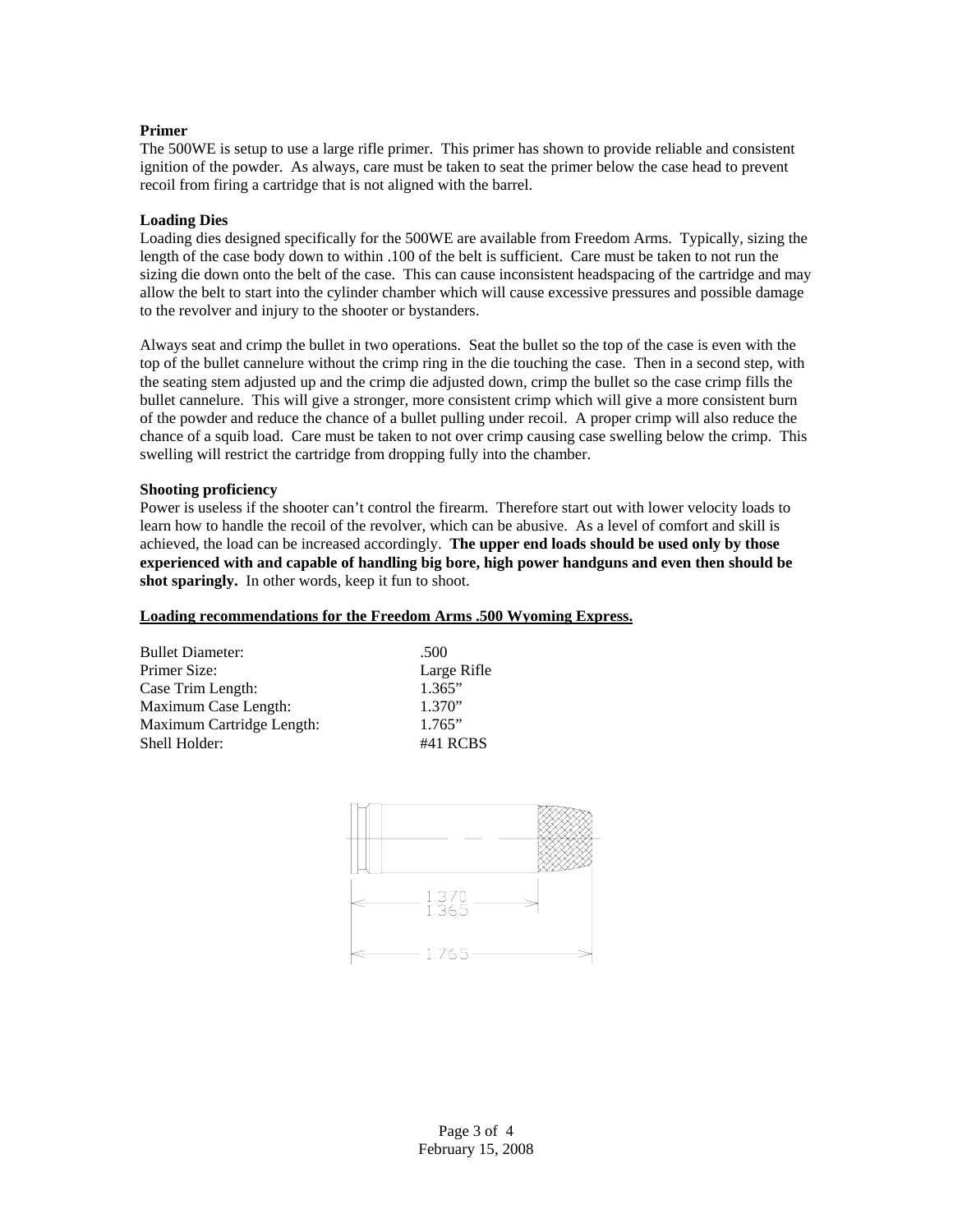#### **Primer**

The 500WE is setup to use a large rifle primer. This primer has shown to provide reliable and consistent ignition of the powder. As always, care must be taken to seat the primer below the case head to prevent recoil from firing a cartridge that is not aligned with the barrel.

#### **Loading Dies**

Loading dies designed specifically for the 500WE are available from Freedom Arms. Typically, sizing the length of the case body down to within .100 of the belt is sufficient. Care must be taken to not run the sizing die down onto the belt of the case. This can cause inconsistent headspacing of the cartridge and may allow the belt to start into the cylinder chamber which will cause excessive pressures and possible damage to the revolver and injury to the shooter or bystanders.

Always seat and crimp the bullet in two operations. Seat the bullet so the top of the case is even with the top of the bullet cannelure without the crimp ring in the die touching the case. Then in a second step, with the seating stem adjusted up and the crimp die adjusted down, crimp the bullet so the case crimp fills the bullet cannelure. This will give a stronger, more consistent crimp which will give a more consistent burn of the powder and reduce the chance of a bullet pulling under recoil. A proper crimp will also reduce the chance of a squib load. Care must be taken to not over crimp causing case swelling below the crimp. This swelling will restrict the cartridge from dropping fully into the chamber.

#### **Shooting proficiency**

Power is useless if the shooter can't control the firearm. Therefore start out with lower velocity loads to learn how to handle the recoil of the revolver, which can be abusive. As a level of comfort and skill is achieved, the load can be increased accordingly. **The upper end loads should be used only by those experienced with and capable of handling big bore, high power handguns and even then should be**  shot sparingly. In other words, keep it fun to shoot.

#### **Loading recommendations for the Freedom Arms .500 Wyoming Express.**

Bullet Diameter: .500 Primer Size: Large Rifle Case Trim Length: 1.365" Maximum Case Length: 1.370" Maximum Cartridge Length: 1.765" Shell Holder: #41 RCBS